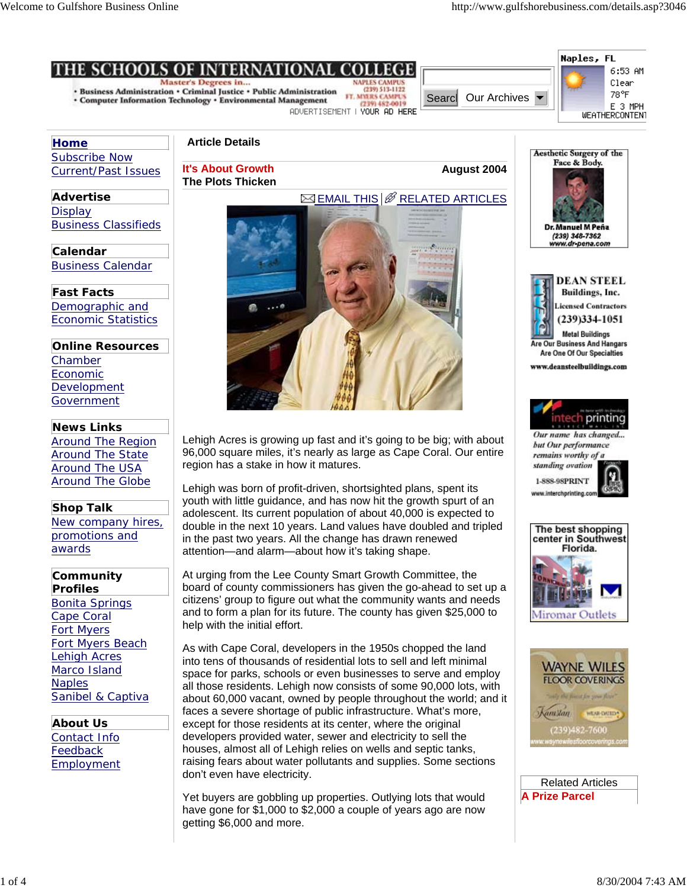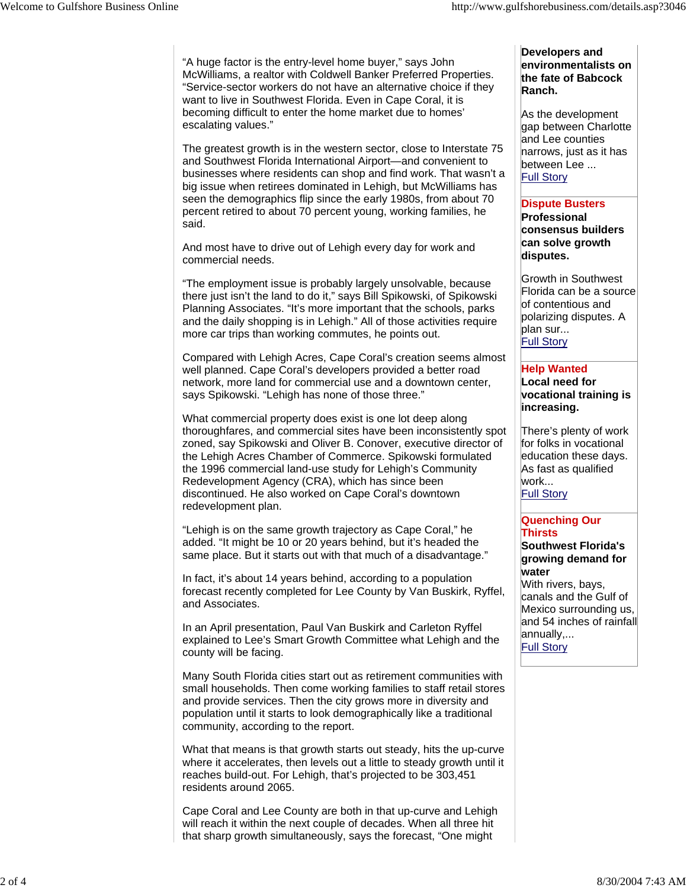"A huge factor is the entry-level home buyer," says John McWilliams, a realtor with Coldwell Banker Preferred Properties. "Service-sector workers do not have an alternative choice if they want to live in Southwest Florida. Even in Cape Coral, it is becoming difficult to enter the home market due to homes' escalating values."

The greatest growth is in the western sector, close to Interstate 75 and Southwest Florida International Airport—and convenient to businesses where residents can shop and find work. That wasn't a big issue when retirees dominated in Lehigh, but McWilliams has seen the demographics flip since the early 1980s, from about 70 percent retired to about 70 percent young, working families, he said.

And most have to drive out of Lehigh every day for work and commercial needs.

"The employment issue is probably largely unsolvable, because there just isn't the land to do it," says Bill Spikowski, of Spikowski Planning Associates. "It's more important that the schools, parks and the daily shopping is in Lehigh." All of those activities require more car trips than working commutes, he points out.

Compared with Lehigh Acres, Cape Coral's creation seems almost well planned. Cape Coral's developers provided a better road network, more land for commercial use and a downtown center, says Spikowski. "Lehigh has none of those three."

What commercial property does exist is one lot deep along thoroughfares, and commercial sites have been inconsistently spot zoned, say Spikowski and Oliver B. Conover, executive director of the Lehigh Acres Chamber of Commerce. Spikowski formulated the 1996 commercial land-use study for Lehigh's Community Redevelopment Agency (CRA), which has since been discontinued. He also worked on Cape Coral's downtown redevelopment plan.

"Lehigh is on the same growth trajectory as Cape Coral," he added. "It might be 10 or 20 years behind, but it's headed the same place. But it starts out with that much of a disadvantage."

In fact, it's about 14 years behind, according to a population forecast recently completed for Lee County by Van Buskirk, Ryffel, and Associates.

In an April presentation, Paul Van Buskirk and Carleton Ryffel explained to Lee's Smart Growth Committee what Lehigh and the county will be facing.

Many South Florida cities start out as retirement communities with small households. Then come working families to staff retail stores and provide services. Then the city grows more in diversity and population until it starts to look demographically like a traditional community, according to the report.

What that means is that growth starts out steady, hits the up-curve where it accelerates, then levels out a little to steady growth until it reaches build-out. For Lehigh, that's projected to be 303,451 residents around 2065.

Cape Coral and Lee County are both in that up-curve and Lehigh will reach it within the next couple of decades. When all three hit that sharp growth simultaneously, says the forecast, "One might

## **Developers and environmentalists on the fate of Babcock Ranch.**

As the development gap between Charlotte and Lee counties narrows, just as it has between Lee ... Full Story

## **Dispute Busters Professional consensus builders can solve growth disputes.**

Growth in Southwest Florida can be a source of contentious and polarizing disputes. A plan sur... Full Story

## **Help Wanted**

**Local need for vocational training is increasing.**

There's plenty of work for folks in vocational education these days. As fast as qualified work... Full Story

## **Quenching Our Thirsts Southwest Florida's**

**growing demand for water** With rivers, bays, canals and the Gulf of Mexico surrounding us, and 54 inches of rainfall annually,...

Full Story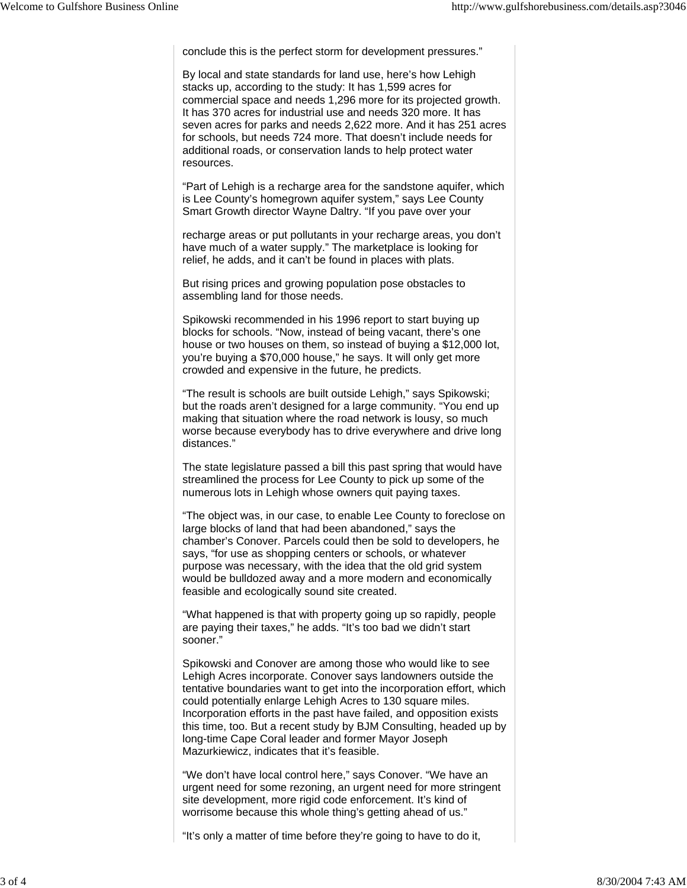conclude this is the perfect storm for development pressures."

By local and state standards for land use, here's how Lehigh stacks up, according to the study: It has 1,599 acres for commercial space and needs 1,296 more for its projected growth. It has 370 acres for industrial use and needs 320 more. It has seven acres for parks and needs 2,622 more. And it has 251 acres for schools, but needs 724 more. That doesn't include needs for additional roads, or conservation lands to help protect water resources.

"Part of Lehigh is a recharge area for the sandstone aquifer, which is Lee County's homegrown aquifer system," says Lee County Smart Growth director Wayne Daltry. "If you pave over your

recharge areas or put pollutants in your recharge areas, you don't have much of a water supply." The marketplace is looking for relief, he adds, and it can't be found in places with plats.

But rising prices and growing population pose obstacles to assembling land for those needs.

Spikowski recommended in his 1996 report to start buying up blocks for schools. "Now, instead of being vacant, there's one house or two houses on them, so instead of buying a \$12,000 lot, you're buying a \$70,000 house," he says. It will only get more crowded and expensive in the future, he predicts.

"The result is schools are built outside Lehigh," says Spikowski; but the roads aren't designed for a large community. "You end up making that situation where the road network is lousy, so much worse because everybody has to drive everywhere and drive long distances."

The state legislature passed a bill this past spring that would have streamlined the process for Lee County to pick up some of the numerous lots in Lehigh whose owners quit paying taxes.

"The object was, in our case, to enable Lee County to foreclose on large blocks of land that had been abandoned," says the chamber's Conover. Parcels could then be sold to developers, he says, "for use as shopping centers or schools, or whatever purpose was necessary, with the idea that the old grid system would be bulldozed away and a more modern and economically feasible and ecologically sound site created.

"What happened is that with property going up so rapidly, people are paying their taxes," he adds. "It's too bad we didn't start sooner."

Spikowski and Conover are among those who would like to see Lehigh Acres incorporate. Conover says landowners outside the tentative boundaries want to get into the incorporation effort, which could potentially enlarge Lehigh Acres to 130 square miles. Incorporation efforts in the past have failed, and opposition exists this time, too. But a recent study by BJM Consulting, headed up by long-time Cape Coral leader and former Mayor Joseph Mazurkiewicz, indicates that it's feasible.

"We don't have local control here," says Conover. "We have an urgent need for some rezoning, an urgent need for more stringent site development, more rigid code enforcement. It's kind of worrisome because this whole thing's getting ahead of us."

"It's only a matter of time before they're going to have to do it,